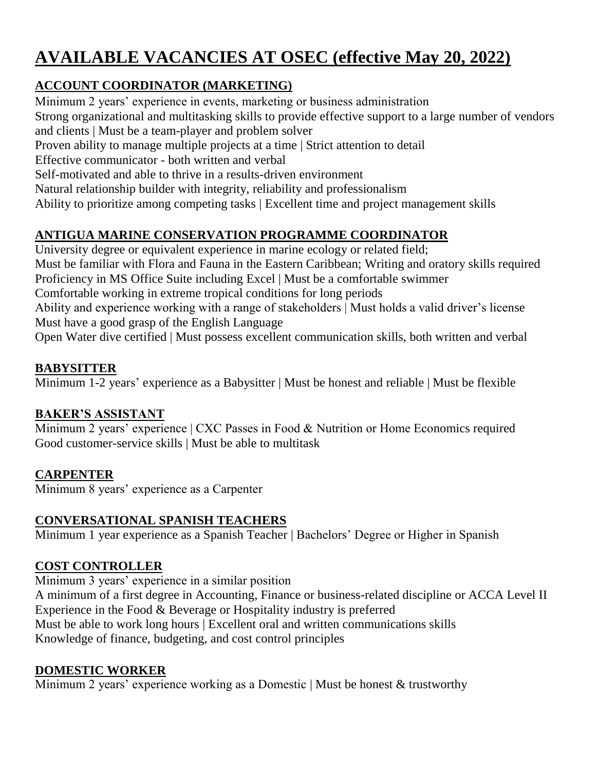# **AVAILABLE VACANCIES AT OSEC (effective May 20, 2022)**

### **ACCOUNT COORDINATOR (MARKETING)**

Minimum 2 years' experience in events, marketing or business administration

Strong organizational and multitasking skills to provide effective support to a large number of vendors and clients | Must be a team-player and problem solver

Proven ability to manage multiple projects at a time | Strict attention to detail

Effective communicator - both written and verbal

Self-motivated and able to thrive in a results-driven environment

Natural relationship builder with integrity, reliability and professionalism

Ability to prioritize among competing tasks | Excellent time and project management skills

# **ANTIGUA MARINE CONSERVATION PROGRAMME COORDINATOR**

University degree or equivalent experience in marine ecology or related field; Must be familiar with Flora and Fauna in the Eastern Caribbean; Writing and oratory skills required Proficiency in MS Office Suite including Excel | Must be a comfortable swimmer Comfortable working in extreme tropical conditions for long periods Ability and experience working with a range of stakeholders | Must holds a valid driver's license

Must have a good grasp of the English Language

Open Water dive certified | Must possess excellent communication skills, both written and verbal

### **BABYSITTER**

Minimum 1-2 years' experience as a Babysitter | Must be honest and reliable | Must be flexible

### **BAKER'S ASSISTANT**

Minimum 2 years' experience | CXC Passes in Food & Nutrition or Home Economics required Good customer-service skills | Must be able to multitask

### **CARPENTER**

Minimum 8 years' experience as a Carpenter

### **CONVERSATIONAL SPANISH TEACHERS**

Minimum 1 year experience as a Spanish Teacher | Bachelors' Degree or Higher in Spanish

### **COST CONTROLLER**

Minimum 3 years' experience in a similar position A minimum of a first degree in Accounting, Finance or business-related discipline or ACCA Level II Experience in the Food & Beverage or Hospitality industry is preferred Must be able to work long hours | Excellent oral and written communications skills Knowledge of finance, budgeting, and cost control principles

### **DOMESTIC WORKER**

Minimum 2 years' experience working as a Domestic | Must be honest  $&$  trustworthy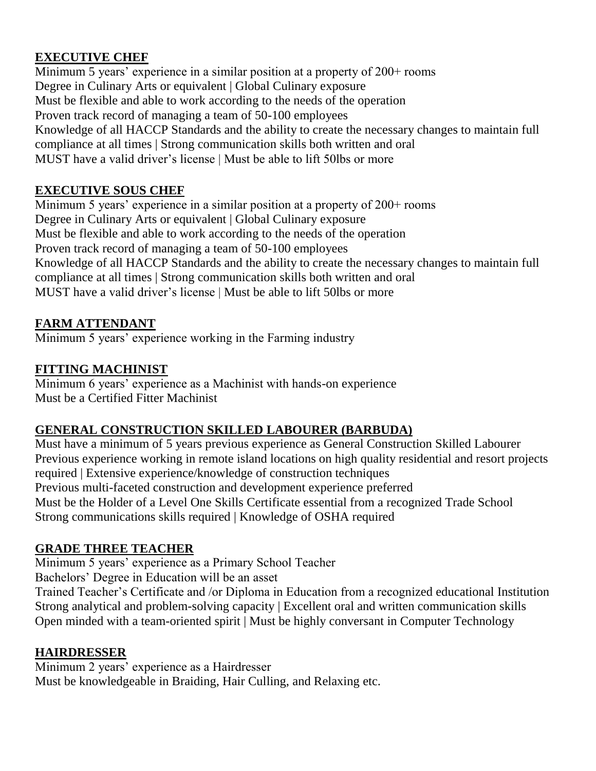#### **EXECUTIVE CHEF**

Minimum 5 years' experience in a similar position at a property of 200+ rooms Degree in Culinary Arts or equivalent | Global Culinary exposure Must be flexible and able to work according to the needs of the operation Proven track record of managing a team of 50-100 employees Knowledge of all HACCP Standards and the ability to create the necessary changes to maintain full compliance at all times | Strong communication skills both written and oral MUST have a valid driver's license | Must be able to lift 50lbs or more

#### **EXECUTIVE SOUS CHEF**

Minimum 5 years' experience in a similar position at a property of 200+ rooms Degree in Culinary Arts or equivalent | Global Culinary exposure Must be flexible and able to work according to the needs of the operation Proven track record of managing a team of 50-100 employees Knowledge of all HACCP Standards and the ability to create the necessary changes to maintain full compliance at all times | Strong communication skills both written and oral MUST have a valid driver's license | Must be able to lift 50lbs or more

#### **FARM ATTENDANT**

Minimum 5 years' experience working in the Farming industry

### **FITTING MACHINIST**

Minimum 6 years' experience as a Machinist with hands-on experience Must be a Certified Fitter Machinist

### **GENERAL CONSTRUCTION SKILLED LABOURER (BARBUDA)**

Must have a minimum of 5 years previous experience as General Construction Skilled Labourer Previous experience working in remote island locations on high quality residential and resort projects required | Extensive experience/knowledge of construction techniques Previous multi-faceted construction and development experience preferred Must be the Holder of a Level One Skills Certificate essential from a recognized Trade School Strong communications skills required | Knowledge of OSHA required

### **GRADE THREE TEACHER**

Minimum 5 years' experience as a Primary School Teacher

Bachelors' Degree in Education will be an asset

Trained Teacher's Certificate and /or Diploma in Education from a recognized educational Institution Strong analytical and problem-solving capacity | Excellent oral and written communication skills Open minded with a team-oriented spirit | Must be highly conversant in Computer Technology

#### **HAIRDRESSER**

Minimum 2 years' experience as a Hairdresser Must be knowledgeable in Braiding, Hair Culling, and Relaxing etc.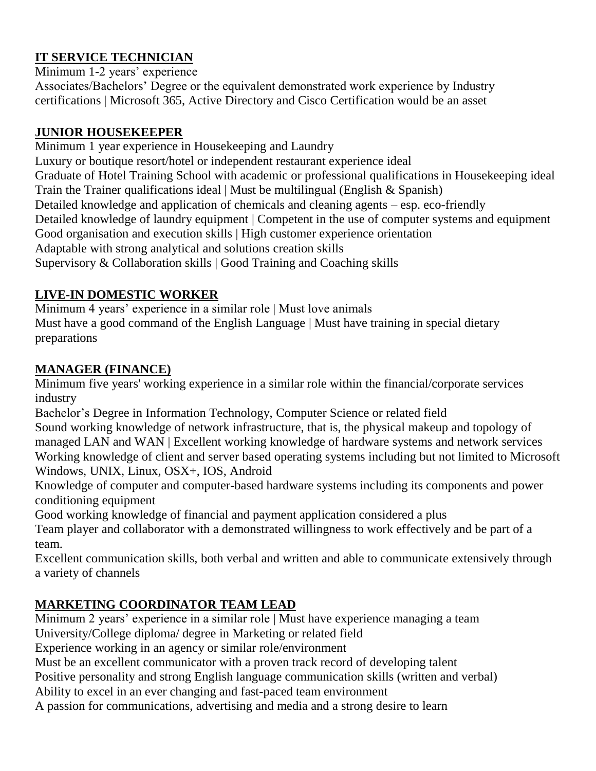### **IT SERVICE TECHNICIAN**

Minimum 1-2 years' experience

Associates/Bachelors' Degree or the equivalent demonstrated work experience by Industry certifications | Microsoft 365, Active Directory and Cisco Certification would be an asset

### **JUNIOR HOUSEKEEPER**

Minimum 1 year experience in Housekeeping and Laundry Luxury or boutique resort/hotel or independent restaurant experience ideal Graduate of Hotel Training School with academic or professional qualifications in Housekeeping ideal Train the Trainer qualifications ideal | Must be multilingual (English & Spanish) Detailed knowledge and application of chemicals and cleaning agents – esp. eco-friendly Detailed knowledge of laundry equipment | Competent in the use of computer systems and equipment Good organisation and execution skills | High customer experience orientation Adaptable with strong analytical and solutions creation skills Supervisory & Collaboration skills | Good Training and Coaching skills

### **LIVE-IN DOMESTIC WORKER**

Minimum 4 years' experience in a similar role | Must love animals Must have a good command of the English Language | Must have training in special dietary preparations

### **MANAGER (FINANCE)**

Minimum five years' working experience in a similar role within the financial/corporate services industry

Bachelor's Degree in Information Technology, Computer Science or related field Sound working knowledge of network infrastructure, that is, the physical makeup and topology of managed LAN and WAN | Excellent working knowledge of hardware systems and network services Working knowledge of client and server based operating systems including but not limited to Microsoft Windows, UNIX, Linux, OSX+, IOS, Android

Knowledge of computer and computer-based hardware systems including its components and power conditioning equipment

Good working knowledge of financial and payment application considered a plus

Team player and collaborator with a demonstrated willingness to work effectively and be part of a team.

Excellent communication skills, both verbal and written and able to communicate extensively through a variety of channels

## **MARKETING COORDINATOR TEAM LEAD**

Minimum 2 years' experience in a similar role | Must have experience managing a team University/College diploma/ degree in Marketing or related field

Experience working in an agency or similar role/environment

Must be an excellent communicator with a proven track record of developing talent

Positive personality and strong English language communication skills (written and verbal)

Ability to excel in an ever changing and fast-paced team environment

A passion for communications, advertising and media and a strong desire to learn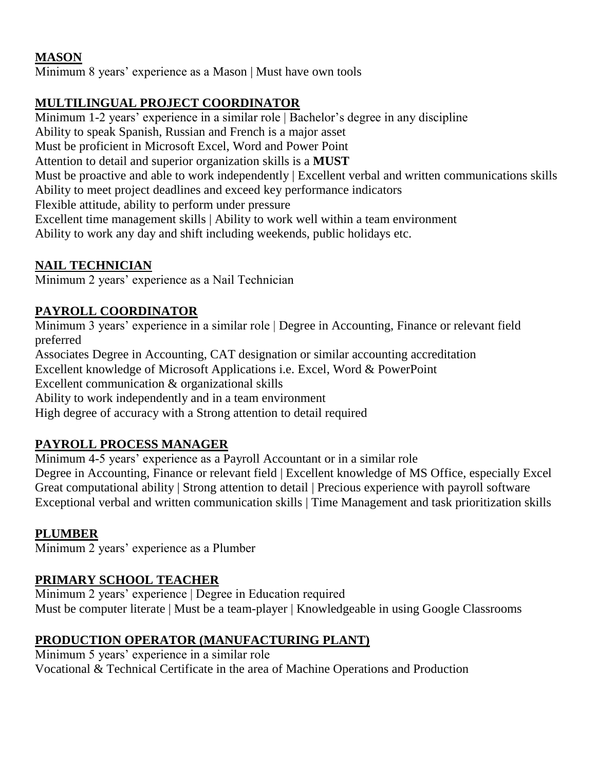### **MASON**

Minimum 8 years' experience as a Mason | Must have own tools

### **MULTILINGUAL PROJECT COORDINATOR**

Minimum 1-2 years' experience in a similar role | Bachelor's degree in any discipline

Ability to speak Spanish, Russian and French is a major asset

Must be proficient in Microsoft Excel, Word and Power Point

Attention to detail and superior organization skills is a **MUST**

Must be proactive and able to work independently | Excellent verbal and written communications skills Ability to meet project deadlines and exceed key performance indicators

Flexible attitude, ability to perform under pressure

Excellent time management skills | Ability to work well within a team environment

Ability to work any day and shift including weekends, public holidays etc.

#### **NAIL TECHNICIAN**

Minimum 2 years' experience as a Nail Technician

#### **PAYROLL COORDINATOR**

Minimum 3 years' experience in a similar role | Degree in Accounting, Finance or relevant field preferred

Associates Degree in Accounting, CAT designation or similar accounting accreditation

Excellent knowledge of Microsoft Applications i.e. Excel, Word & PowerPoint

Excellent communication & organizational skills

Ability to work independently and in a team environment

High degree of accuracy with a Strong attention to detail required

### **PAYROLL PROCESS MANAGER**

Minimum 4-5 years' experience as a Payroll Accountant or in a similar role Degree in Accounting, Finance or relevant field | Excellent knowledge of MS Office, especially Excel Great computational ability | Strong attention to detail | Precious experience with payroll software Exceptional verbal and written communication skills | Time Management and task prioritization skills

### **PLUMBER**

Minimum 2 years' experience as a Plumber

### **PRIMARY SCHOOL TEACHER**

Minimum 2 years' experience | Degree in Education required Must be computer literate | Must be a team-player | Knowledgeable in using Google Classrooms

### **PRODUCTION OPERATOR (MANUFACTURING PLANT)**

Minimum 5 years' experience in a similar role Vocational & Technical Certificate in the area of Machine Operations and Production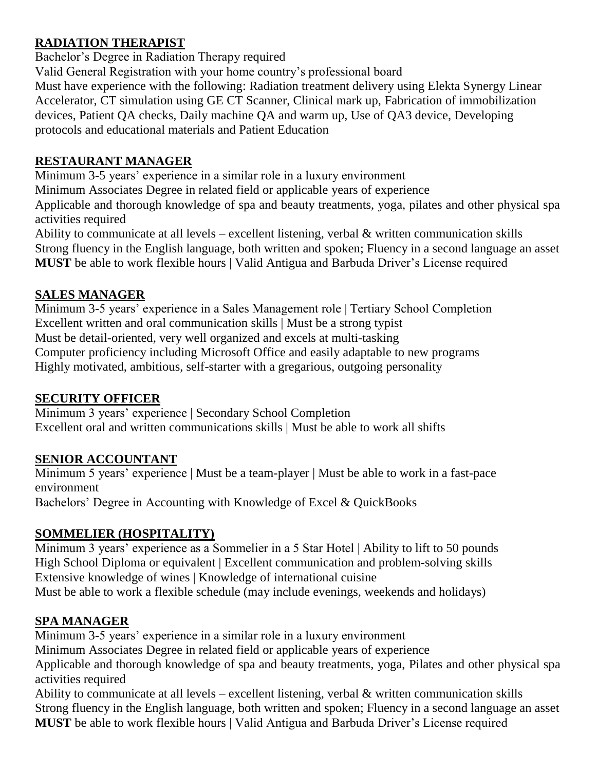### **RADIATION THERAPIST**

Bachelor's Degree in Radiation Therapy required

Valid General Registration with your home country's professional board Must have experience with the following: Radiation treatment delivery using Elekta Synergy Linear Accelerator, CT simulation using GE CT Scanner, Clinical mark up, Fabrication of immobilization devices, Patient QA checks, Daily machine QA and warm up, Use of QA3 device, Developing protocols and educational materials and Patient Education

# **RESTAURANT MANAGER**

Minimum 3-5 years' experience in a similar role in a luxury environment Minimum Associates Degree in related field or applicable years of experience Applicable and thorough knowledge of spa and beauty treatments, yoga, pilates and other physical spa activities required Ability to communicate at all levels – excellent listening, verbal & written communication skills Strong fluency in the English language, both written and spoken; Fluency in a second language an asset

**MUST** be able to work flexible hours | Valid Antigua and Barbuda Driver's License required

# **SALES MANAGER**

Minimum 3-5 years' experience in a Sales Management role | Tertiary School Completion Excellent written and oral communication skills | Must be a strong typist Must be detail-oriented, very well organized and excels at multi-tasking Computer proficiency including Microsoft Office and easily adaptable to new programs Highly motivated, ambitious, self-starter with a gregarious, outgoing personality

# **SECURITY OFFICER**

Minimum 3 years' experience | Secondary School Completion Excellent oral and written communications skills | Must be able to work all shifts

# **SENIOR ACCOUNTANT**

Minimum 5 years' experience | Must be a team-player | Must be able to work in a fast-pace environment Bachelors' Degree in Accounting with Knowledge of Excel & QuickBooks

# **SOMMELIER (HOSPITALITY)**

Minimum 3 years' experience as a Sommelier in a 5 Star Hotel | Ability to lift to 50 pounds High School Diploma or equivalent | Excellent communication and problem-solving skills Extensive knowledge of wines | Knowledge of international cuisine Must be able to work a flexible schedule (may include evenings, weekends and holidays)

# **SPA MANAGER**

Minimum 3-5 years' experience in a similar role in a luxury environment

Minimum Associates Degree in related field or applicable years of experience

Applicable and thorough knowledge of spa and beauty treatments, yoga, Pilates and other physical spa activities required

Ability to communicate at all levels – excellent listening, verbal & written communication skills Strong fluency in the English language, both written and spoken; Fluency in a second language an asset **MUST** be able to work flexible hours | Valid Antigua and Barbuda Driver's License required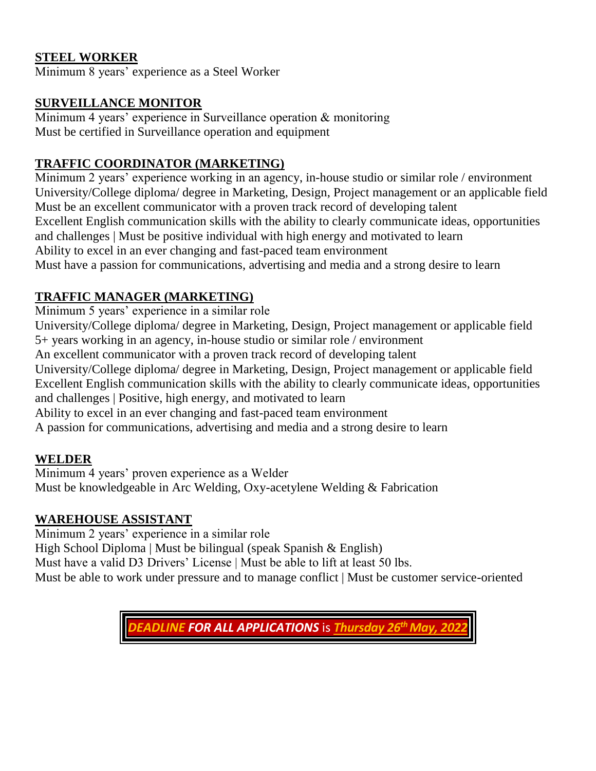#### **STEEL WORKER**

Minimum 8 years' experience as a Steel Worker

#### **SURVEILLANCE MONITOR**

Minimum 4 years' experience in Surveillance operation & monitoring Must be certified in Surveillance operation and equipment

#### **TRAFFIC COORDINATOR (MARKETING)**

Minimum 2 years' experience working in an agency, in-house studio or similar role / environment University/College diploma/ degree in Marketing, Design, Project management or an applicable field Must be an excellent communicator with a proven track record of developing talent Excellent English communication skills with the ability to clearly communicate ideas, opportunities and challenges | Must be positive individual with high energy and motivated to learn Ability to excel in an ever changing and fast-paced team environment Must have a passion for communications, advertising and media and a strong desire to learn

#### **TRAFFIC MANAGER (MARKETING)**

Minimum 5 years' experience in a similar role

University/College diploma/ degree in Marketing, Design, Project management or applicable field 5+ years working in an agency, in-house studio or similar role / environment

An excellent communicator with a proven track record of developing talent

University/College diploma/ degree in Marketing, Design, Project management or applicable field Excellent English communication skills with the ability to clearly communicate ideas, opportunities and challenges | Positive, high energy, and motivated to learn

Ability to excel in an ever changing and fast-paced team environment

A passion for communications, advertising and media and a strong desire to learn

#### **WELDER**

Minimum 4 years' proven experience as a Welder Must be knowledgeable in Arc Welding, Oxy-acetylene Welding & Fabrication

#### **WAREHOUSE ASSISTANT**

Minimum 2 years' experience in a similar role

High School Diploma | Must be bilingual (speak Spanish & English)

Must have a valid D3 Drivers' License | Must be able to lift at least 50 lbs.

Must be able to work under pressure and to manage conflict | Must be customer service-oriented

*DEADLINE FOR ALL APPLICATIONS* is *Thursday 26thMay, 2022*